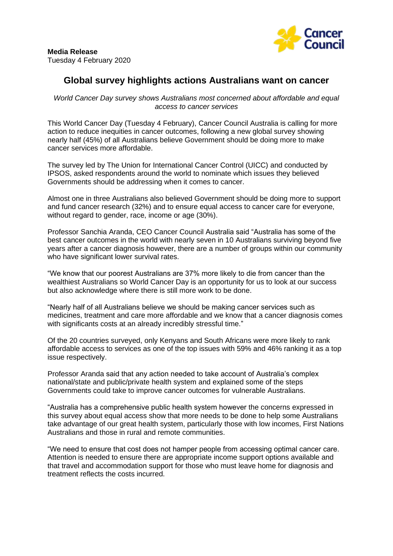

# **Global survey highlights actions Australians want on cancer**

*World Cancer Day survey shows Australians most concerned about affordable and equal access to cancer services*

This World Cancer Day (Tuesday 4 February), Cancer Council Australia is calling for more action to reduce inequities in cancer outcomes, following a new global survey showing nearly half (45%) of all Australians believe Government should be doing more to make cancer services more affordable.

The survey led by The Union for International Cancer Control (UICC) and conducted by IPSOS, asked respondents around the world to nominate which issues they believed Governments should be addressing when it comes to cancer.

Almost one in three Australians also believed Government should be doing more to support and fund cancer research (32%) and to ensure equal access to cancer care for everyone, without regard to gender, race, income or age (30%).

Professor Sanchia Aranda, CEO Cancer Council Australia said "Australia has some of the best cancer outcomes in the world with nearly seven in 10 Australians surviving beyond five years after a cancer diagnosis however, there are a number of groups within our community who have significant lower survival rates.

"We know that our poorest Australians are 37% more likely to die from cancer than the wealthiest Australians so World Cancer Day is an opportunity for us to look at our success but also acknowledge where there is still more work to be done.

"Nearly half of all Australians believe we should be making cancer services such as medicines, treatment and care more affordable and we know that a cancer diagnosis comes with significants costs at an already incredibly stressful time."

Of the 20 countries surveyed, only Kenyans and South Africans were more likely to rank affordable access to services as one of the top issues with 59% and 46% ranking it as a top issue respectively.

Professor Aranda said that any action needed to take account of Australia's complex national/state and public/private health system and explained some of the steps Governments could take to improve cancer outcomes for vulnerable Australians.

"Australia has a comprehensive public health system however the concerns expressed in this survey about equal access show that more needs to be done to help some Australians take advantage of our great health system, particularly those with low incomes, First Nations Australians and those in rural and remote communities.

"We need to ensure that cost does not hamper people from accessing optimal cancer care. Attention is needed to ensure there are appropriate income support options available and that travel and accommodation support for those who must leave home for diagnosis and treatment reflects the costs incurred.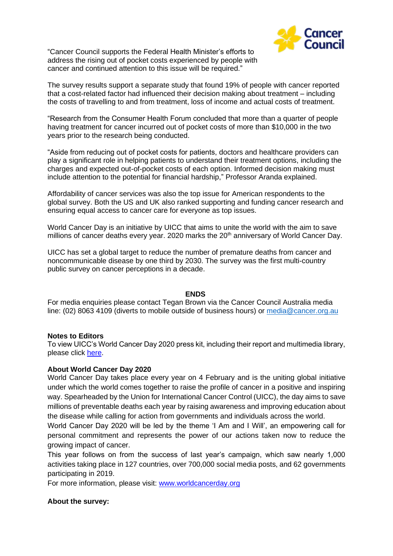"Cancer Council supports the Federal Health Minister's efforts to address the rising out of pocket costs experienced by people with cancer and continued attention to this issue will be required."



The survey results support a separate study that found 19% of people with cancer reported that a cost-related factor had influenced their decision making about treatment – including the costs of travelling to and from treatment, loss of income and actual costs of treatment.

"Research from the Consumer Health Forum concluded that more than a quarter of people having treatment for cancer incurred out of pocket costs of more than \$10,000 in the two years prior to the research being conducted.

"Aside from reducing out of pocket costs for patients, doctors and healthcare providers can play a significant role in helping patients to understand their treatment options, including the charges and expected out-of-pocket costs of each option. Informed decision making must include attention to the potential for financial hardship," Professor Aranda explained.

Affordability of cancer services was also the top issue for American respondents to the global survey. Both the US and UK also ranked supporting and funding cancer research and ensuring equal access to cancer care for everyone as top issues.

World Cancer Day is an initiative by UICC that aims to unite the world with the aim to save millions of cancer deaths every year. 2020 marks the 20<sup>th</sup> anniversary of World Cancer Day.

UICC has set a global target to reduce the number of premature deaths from cancer and noncommunicable disease by one third by 2030. The survey was the first multi-country public survey on cancer perceptions in a decade.

### **ENDS**

For media enquiries please contact Tegan Brown via the Cancer Council Australia media line: (02) 8063 4109 (diverts to mobile outside of business hours) or [media@cancer.org.au](mailto:media@cancer.org.au)

### **Notes to Editors**

To view UICC's World Cancer Day 2020 press kit, including their report and multimedia library, please click [here.](http://www.worldcancerday.org/embargo)

# **About World Cancer Day 2020**

World Cancer Day takes place every year on 4 February and is the uniting global initiative under which the world comes together to raise the profile of cancer in a positive and inspiring way. Spearheaded by the Union for International Cancer Control (UICC), the day aims to save millions of preventable deaths each year by raising awareness and improving education about the disease while calling for action from governments and individuals across the world.

World Cancer Day 2020 will be led by the theme 'I Am and I Will', an empowering call for personal commitment and represents the power of our actions taken now to reduce the growing impact of cancer.

This year follows on from the success of last year's campaign, which saw nearly 1,000 activities taking place in 127 countries, over 700,000 social media posts, and 62 governments participating in 2019.

For more information, please visit: [www.worldcancerday.org](http://www.worldcancerday.org/)

# **About the survey:**